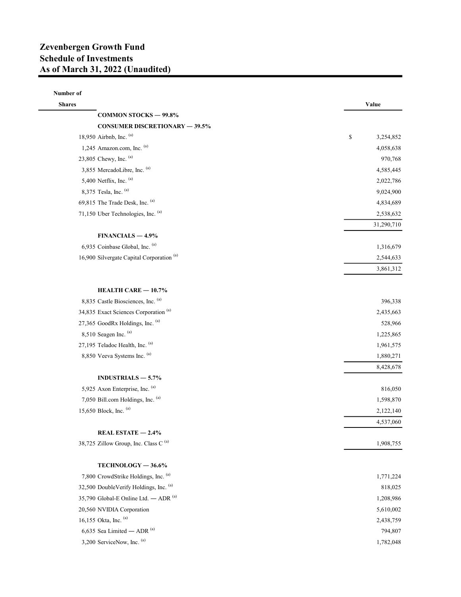## Number of

| <b>Shares</b>                                        | Value           |
|------------------------------------------------------|-----------------|
| <b>COMMON STOCKS - 99.8%</b>                         |                 |
| <b>CONSUMER DISCRETIONARY - 39.5%</b>                |                 |
| 18,950 Airbnb, Inc. (a)                              | \$<br>3,254,852 |
| 1,245 Amazon.com, Inc. (a)                           | 4,058,638       |
| 23,805 Chewy, Inc. (a)                               | 970,768         |
| 3,855 MercadoLibre, Inc. (a)                         | 4,585,445       |
| 5,400 Netflix, Inc. (a)                              | 2,022,786       |
| 8,375 Tesla, Inc. (a)                                | 9,024,900       |
| 69,815 The Trade Desk, Inc. (a)                      | 4,834,689       |
| 71,150 Uber Technologies, Inc. (a)                   | 2,538,632       |
|                                                      | 31,290,710      |
| $FINANCIALS - 4.9%$                                  |                 |
| 6,935 Coinbase Global, Inc. (a)                      | 1,316,679       |
| 16,900 Silvergate Capital Corporation <sup>(a)</sup> | 2,544,633       |
|                                                      | 3,861,312       |
| HEALTH CARE - 10.7%                                  |                 |
| 8,835 Castle Biosciences, Inc. (a)                   | 396,338         |
| 34,835 Exact Sciences Corporation <sup>(a)</sup>     | 2,435,663       |
| 27,365 GoodRx Holdings, Inc. (a)                     | 528,966         |
| $8,510$ Seagen Inc. $(a)$                            | 1,225,865       |
| 27,195 Teladoc Health, Inc. (a)                      | 1,961,575       |
| 8,850 Veeva Systems Inc. (a)                         | 1,880,271       |
|                                                      | 8,428,678       |
| INDUSTRIALS $-5.7%$                                  |                 |
| 5,925 Axon Enterprise, Inc. (a)                      | 816,050         |
| 7,050 Bill.com Holdings, Inc. (a)                    | 1,598,870       |
| 15,650 Block, Inc. (a)                               | 2,122,140       |
|                                                      | 4,537,060       |
| REAL ESTATE $-2.4%$                                  |                 |
| 38,725 Zillow Group, Inc. Class C <sup>(a)</sup>     | 1,908,755       |
| TECHNOLOGY-36.6%                                     |                 |
| 7,800 CrowdStrike Holdings, Inc. (a)                 | 1,771,224       |
| 32,500 DoubleVerify Holdings, Inc. (a)               | 818,025         |
| 35,790 Global-E Online Ltd. - ADR (a)                | 1,208,986       |
| 20,560 NVIDIA Corporation                            | 5,610,002       |
| 16,155 Okta, Inc. (a)                                | 2,438,759       |
| 6,635 Sea Limited $-$ ADR $(a)$                      | 794,807         |
| 3,200 ServiceNow, Inc. (a)                           | 1,782,048       |
|                                                      |                 |